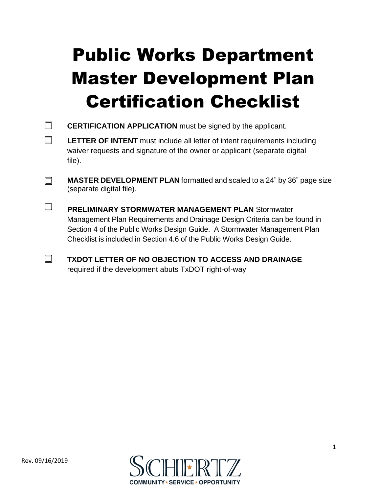## Public Works Department Master Development Plan Certification Checklist

- $\Box$ **CERTIFICATION APPLICATION** must be signed by the applicant.
- $\Box$ **LETTER OF INTENT** must include all letter of intent requirements including waiver requests and signature of the owner or applicant (separate digital file).
- $\Box$ **MASTER DEVELOPMENT PLAN** formatted and scaled to a 24" by 36" page size (separate digital file).
- $\Box$ **PRELIMINARY STORMWATER MANAGEMENT PLAN** Stormwater Management Plan Requirements and Drainage Design Criteria can be found in Section 4 of the Public Works Design Guide. A Stormwater Management Plan Checklist is included in Section 4.6 of the Public Works Design Guide.
- $\Box$ **TXDOT LETTER OF NO OBJECTION TO ACCESS AND DRAINAGE** required if the development abuts TxDOT right-of-way

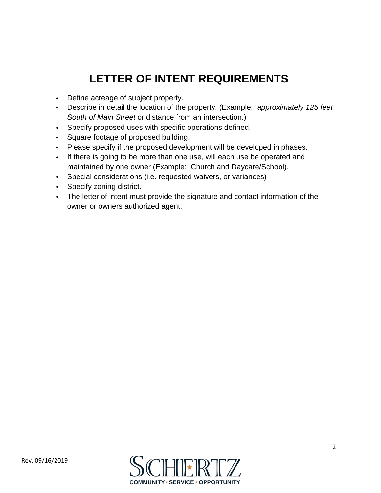## **LETTER OF INTENT REQUIREMENTS**

- Define acreage of subject property.
- Describe in detail the location of the property. (Example: *approximately 125 feet South of Main Street* or distance from an intersection.)
- Specify proposed uses with specific operations defined.
- Square footage of proposed building.
- Please specify if the proposed development will be developed in phases.
- If there is going to be more than one use, will each use be operated and maintained by one owner (Example: Church and Daycare/School).
- Special considerations (i.e. requested waivers, or variances)
- Specify zoning district.
- The letter of intent must provide the signature and contact information of the owner or owners authorized agent.

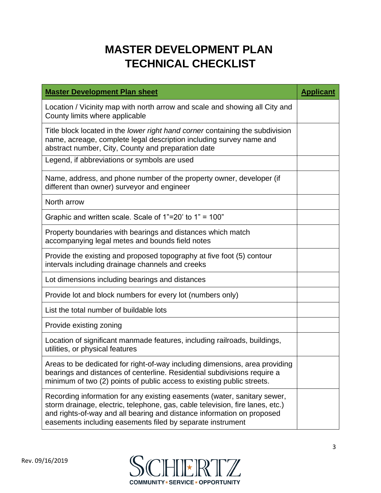## **MASTER DEVELOPMENT PLAN TECHNICAL CHECKLIST**

| <b>Master Development Plan sheet</b>                                                                                                                                                                                                                                                              | <b>Applicant</b> |
|---------------------------------------------------------------------------------------------------------------------------------------------------------------------------------------------------------------------------------------------------------------------------------------------------|------------------|
| Location / Vicinity map with north arrow and scale and showing all City and<br>County limits where applicable                                                                                                                                                                                     |                  |
| Title block located in the lower right hand corner containing the subdivision<br>name, acreage, complete legal description including survey name and<br>abstract number, City, County and preparation date                                                                                        |                  |
| Legend, if abbreviations or symbols are used                                                                                                                                                                                                                                                      |                  |
| Name, address, and phone number of the property owner, developer (if<br>different than owner) surveyor and engineer                                                                                                                                                                               |                  |
| North arrow                                                                                                                                                                                                                                                                                       |                  |
| Graphic and written scale. Scale of $1"=20'$ to $1" = 100"$                                                                                                                                                                                                                                       |                  |
| Property boundaries with bearings and distances which match<br>accompanying legal metes and bounds field notes                                                                                                                                                                                    |                  |
| Provide the existing and proposed topography at five foot (5) contour<br>intervals including drainage channels and creeks                                                                                                                                                                         |                  |
| Lot dimensions including bearings and distances                                                                                                                                                                                                                                                   |                  |
| Provide lot and block numbers for every lot (numbers only)                                                                                                                                                                                                                                        |                  |
| List the total number of buildable lots                                                                                                                                                                                                                                                           |                  |
| Provide existing zoning                                                                                                                                                                                                                                                                           |                  |
| Location of significant manmade features, including railroads, buildings,<br>utilities, or physical features                                                                                                                                                                                      |                  |
| Areas to be dedicated for right-of-way including dimensions, area providing<br>bearings and distances of centerline. Residential subdivisions require a<br>minimum of two (2) points of public access to existing public streets.                                                                 |                  |
| Recording information for any existing easements (water, sanitary sewer,<br>storm drainage, electric, telephone, gas, cable television, fire lanes, etc.)<br>and rights-of-way and all bearing and distance information on proposed<br>easements including easements filed by separate instrument |                  |

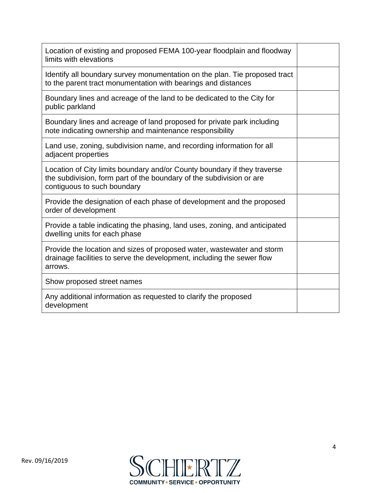| Location of existing and proposed FEMA 100-year floodplain and floodway<br>limits with elevations                                                                               |  |
|---------------------------------------------------------------------------------------------------------------------------------------------------------------------------------|--|
| Identify all boundary survey monumentation on the plan. Tie proposed tract<br>to the parent tract monumentation with bearings and distances                                     |  |
| Boundary lines and acreage of the land to be dedicated to the City for<br>public parkland                                                                                       |  |
| Boundary lines and acreage of land proposed for private park including<br>note indicating ownership and maintenance responsibility                                              |  |
| Land use, zoning, subdivision name, and recording information for all<br>adjacent properties                                                                                    |  |
| Location of City limits boundary and/or County boundary if they traverse<br>the subdivision, form part of the boundary of the subdivision or are<br>contiguous to such boundary |  |
| Provide the designation of each phase of development and the proposed<br>order of development                                                                                   |  |
| Provide a table indicating the phasing, land uses, zoning, and anticipated<br>dwelling units for each phase                                                                     |  |
| Provide the location and sizes of proposed water, wastewater and storm<br>drainage facilities to serve the development, including the sewer flow<br>arrows.                     |  |
| Show proposed street names                                                                                                                                                      |  |
| Any additional information as requested to clarify the proposed<br>development                                                                                                  |  |